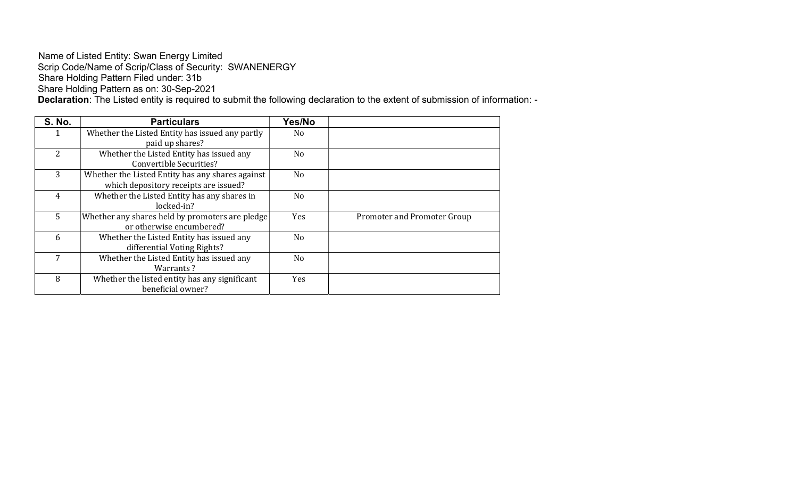#### Name of Listed Entity: Swan Energy Limited Scrip Code/Name of Scrip/Class of Security: SWANENERGY Share Holding Pattern Filed under: 31b Share Holding Pattern as on: 30-Sep-2021

Declaration: The Listed entity is required to submit the following declaration to the extent of submission of information: -

| <b>S. No.</b>  | <b>Particulars</b>                               | Yes/No         |                             |
|----------------|--------------------------------------------------|----------------|-----------------------------|
|                | Whether the Listed Entity has issued any partly  | No.            |                             |
|                | paid up shares?                                  |                |                             |
| $\overline{2}$ | Whether the Listed Entity has issued any         | No.            |                             |
|                | <b>Convertible Securities?</b>                   |                |                             |
| 3              | Whether the Listed Entity has any shares against | N <sub>o</sub> |                             |
|                | which depository receipts are issued?            |                |                             |
| 4              | Whether the Listed Entity has any shares in      | N <sub>o</sub> |                             |
|                | locked-in?                                       |                |                             |
| $5^{\circ}$    | Whether any shares held by promoters are pledge  | Yes            | Promoter and Promoter Group |
|                | or otherwise encumbered?                         |                |                             |
| 6              | Whether the Listed Entity has issued any         | N <sub>o</sub> |                             |
|                | differential Voting Rights?                      |                |                             |
| 7              | Whether the Listed Entity has issued any         | N <sub>o</sub> |                             |
|                | Warrants?                                        |                |                             |
| 8              | Whether the listed entity has any significant    | Yes            |                             |
|                | beneficial owner?                                |                |                             |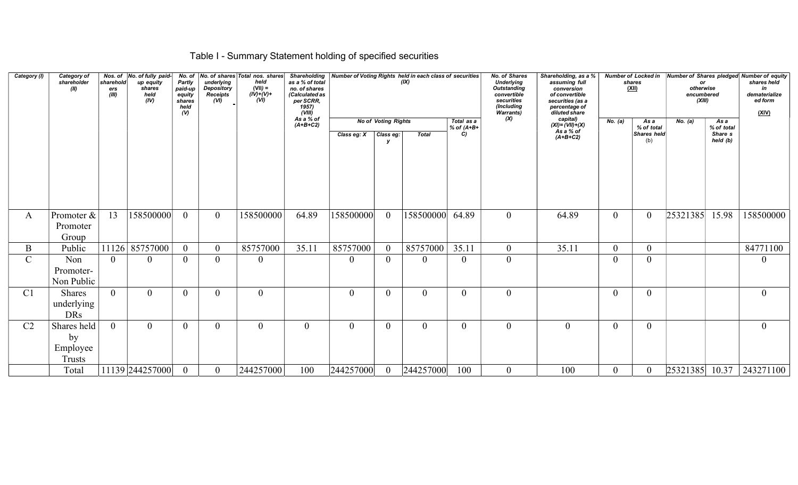# Table I - Summary Statement holding of specified securities

| Category (I)   | Category of<br>shareholder<br>(II)             | sharehold<br>ers<br>(III) | Nos. of  No. of fully paid-<br>up equity<br>shares<br>held<br>(IV) | No. of<br>Partly<br>paid-up<br>equity<br>shares<br>held<br>$($ V) | underlying<br><b>Depository</b><br>Receipts <sup>1</sup> | No. of shares Total nos. shares<br>held<br>$(VII) =$<br>$(IV)+(V)+$<br>(VI) | as a % of total<br>no. of shares<br>(Calculated as<br>per SCRR,<br>1957)<br>(VIII)<br>As a % of |                |                            | Shareholding   Number of Voting Rights held in each class of securities<br>(IX) |                            | <b>No. of Shares</b><br><b>Underlying</b><br><b>Outstanding</b><br>convertible<br>securities<br>(Including<br><b>Warrants)</b> | Shareholding, as a %<br>assuming full<br>conversion<br>of convertible<br>securities (as a<br>percentage of<br>diluted share |                | <b>Number of Locked in</b><br>shares<br><u>(XII)</u> | or<br>otherwise<br>encumbered<br>(XIII) |                     | Number of Shares pledged Number of equity<br>shares held<br>in<br>dematerialize<br>ed form<br>(XIV) |
|----------------|------------------------------------------------|---------------------------|--------------------------------------------------------------------|-------------------------------------------------------------------|----------------------------------------------------------|-----------------------------------------------------------------------------|-------------------------------------------------------------------------------------------------|----------------|----------------------------|---------------------------------------------------------------------------------|----------------------------|--------------------------------------------------------------------------------------------------------------------------------|-----------------------------------------------------------------------------------------------------------------------------|----------------|------------------------------------------------------|-----------------------------------------|---------------------|-----------------------------------------------------------------------------------------------------|
|                |                                                |                           |                                                                    |                                                                   |                                                          |                                                                             | $(A+B+C2)$                                                                                      |                | <b>No of Voting Rights</b> |                                                                                 | Total as a<br>% of $(A+B+$ | (X)                                                                                                                            | capital)<br>$(XI) = (VII) + (X)$<br>As a % of<br>$(A+B+C2)$                                                                 | No. (a)        | As a<br>% of total                                   | No. (a)                                 | As a<br>% of total  |                                                                                                     |
|                |                                                |                           |                                                                    |                                                                   |                                                          |                                                                             |                                                                                                 | Class eg: X    | Class eg:<br>V             | <b>Total</b>                                                                    | C)                         |                                                                                                                                |                                                                                                                             |                | Shares held<br>(b)                                   |                                         | Share s<br>held (b) |                                                                                                     |
| A              | Promoter &                                     | 13                        | 158500000                                                          | $\overline{0}$                                                    | $\overline{0}$                                           | 158500000                                                                   | 64.89                                                                                           | 158500000      | $\overline{0}$             | 158500000                                                                       | 64.89                      | $\overline{0}$                                                                                                                 | 64.89                                                                                                                       | $\overline{0}$ | $\overline{0}$                                       | 25321385                                | 15.98               | 158500000                                                                                           |
|                | Promoter<br>Group                              |                           |                                                                    |                                                                   |                                                          |                                                                             |                                                                                                 |                |                            |                                                                                 |                            |                                                                                                                                |                                                                                                                             |                |                                                      |                                         |                     |                                                                                                     |
| B              | Public                                         |                           | 11126 85757000                                                     | $\overline{0}$                                                    | $\overline{0}$                                           | 85757000                                                                    | 35.11                                                                                           | 85757000       | $\overline{0}$             | 85757000                                                                        | 35.11                      | $\overline{0}$                                                                                                                 | 35.11                                                                                                                       | $\overline{0}$ | $\overline{0}$                                       |                                         |                     | 84771100                                                                                            |
| $\mathbf C$    | Non<br>Promoter-<br>Non Public                 | $\overline{0}$            | 0                                                                  | $\overline{0}$                                                    | $\mathbf{0}$                                             | $\mathbf{0}$                                                                |                                                                                                 | $\theta$       | $\overline{0}$             | $\theta$                                                                        | $\overline{0}$             | $\boldsymbol{0}$                                                                                                               |                                                                                                                             | $\overline{0}$ | $\overline{0}$                                       |                                         |                     | $\mathbf{0}$                                                                                        |
| C <sub>1</sub> | Shares<br>underlying<br><b>DRs</b>             | $\theta$                  | $\theta$                                                           | $\overline{0}$                                                    | $\theta$                                                 | $\theta$                                                                    |                                                                                                 | $\theta$       | $\theta$                   | $\theta$                                                                        | $\theta$                   | $\overline{0}$                                                                                                                 |                                                                                                                             | $\theta$       | $\theta$                                             |                                         |                     | $\mathbf{0}$                                                                                        |
| C2             | Shares held<br>by<br>Employee<br><b>Trusts</b> | $\overline{0}$            | $\overline{0}$                                                     | $\overline{0}$                                                    | $\overline{0}$                                           | $\overline{0}$                                                              | $\theta$                                                                                        | $\overline{0}$ | $\overline{0}$             | $\overline{0}$                                                                  | $\overline{0}$             | $\overline{0}$                                                                                                                 | $\theta$                                                                                                                    | $\overline{0}$ | $\overline{0}$                                       |                                         |                     | $\overline{0}$                                                                                      |
|                | Total                                          |                           | 11139 244257000                                                    | $\overline{0}$                                                    | $\overline{0}$                                           | 244257000                                                                   | 100                                                                                             | 244257000      | $\overline{0}$             | 244257000                                                                       | 100                        | $\overline{0}$                                                                                                                 | 100                                                                                                                         | $\overline{0}$ | $\overline{0}$                                       |                                         |                     | 25321385 10.37 243271100                                                                            |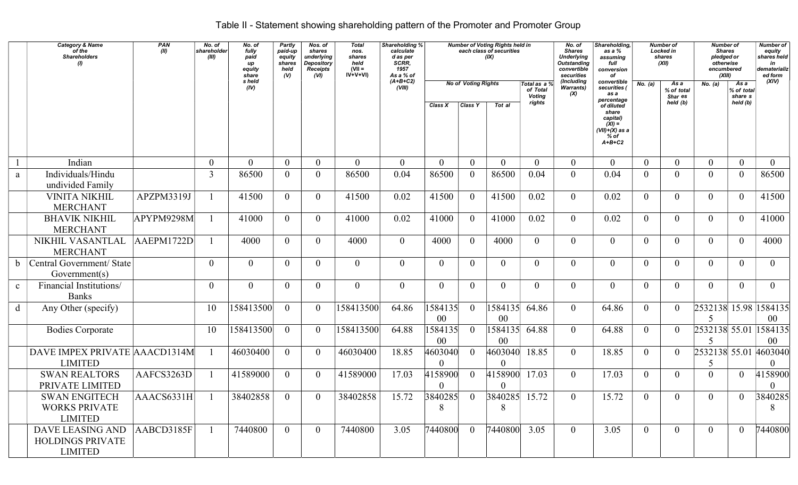# Table II - Statement showing shareholding pattern of the Promoter and Promoter Group

|              | <b>Category &amp; Name</b><br>of the<br><b>Shareholders</b><br>$\eta$ | PAN<br>(II) | No. of<br>shareholder<br>(III) | No. of<br>fully<br>paid<br>up<br>equity<br>share | Partly<br>paid-up<br>equity<br>shares<br>held<br>(V) | Nos. of<br>shares<br>underlying<br><b>Depository</b><br><b>Receipts</b><br>(VI) | <b>Total</b><br>nos.<br>shares<br>held<br>$(VII =$<br>$IV+V+VI$ | Shareholding %<br>calculate<br>d as per<br>SCRR,<br>1957<br>As a % of |                           |                            | <b>Number of Voting Rights held in</b><br>each class of securities<br>(IX) |                                            | No. of<br><b>Shares</b><br><b>Underlying</b><br><b>Outstanding</b><br>convertible<br>securities | Shareholding,<br>as a %<br>assuming<br>full<br>conversion<br>of                                 |                | Number of<br>Locked in<br>shares<br>(XII) | <b>Number of</b><br><b>Shares</b><br>pledged or<br>otherwise<br>encumbered<br>(XIII) |                               | Number of<br>equity<br>shares held<br>in<br>dematerializ<br>ed form |
|--------------|-----------------------------------------------------------------------|-------------|--------------------------------|--------------------------------------------------|------------------------------------------------------|---------------------------------------------------------------------------------|-----------------------------------------------------------------|-----------------------------------------------------------------------|---------------------------|----------------------------|----------------------------------------------------------------------------|--------------------------------------------|-------------------------------------------------------------------------------------------------|-------------------------------------------------------------------------------------------------|----------------|-------------------------------------------|--------------------------------------------------------------------------------------|-------------------------------|---------------------------------------------------------------------|
|              |                                                                       |             |                                | s held<br>(IV)                                   |                                                      |                                                                                 |                                                                 | $(A+B+C2)$<br>(VIII)                                                  |                           | <b>No of Voting Rights</b> |                                                                            | Total as  a %<br>of Total<br><b>Voting</b> | (Including<br>Warrants)<br>(X)                                                                  | convertible<br>securities (<br>as a                                                             | No. (a)        | As a<br>% of total<br>Shar es             | No. (a)                                                                              | As a<br>% of total<br>share s | (XIV)                                                               |
|              |                                                                       |             |                                |                                                  |                                                      |                                                                                 |                                                                 |                                                                       | Class X                   | Class Y                    | Tot al                                                                     | rights                                     |                                                                                                 | percentage<br>of diluted<br>share<br>capital)<br>$(XI) =$<br>(VII)+(X) as a<br>% of<br>$A+B+C2$ |                | held (b)                                  |                                                                                      | held (b)                      |                                                                     |
|              | Indian                                                                |             | $\mathbf{0}$                   | $\overline{0}$                                   | $\overline{0}$                                       | $\theta$                                                                        | $\overline{0}$                                                  | $\theta$                                                              | $\theta$                  | $\overline{0}$             | $\theta$                                                                   | $\theta$                                   | $\theta$                                                                                        | $\theta$                                                                                        | $\theta$       | $\Omega$                                  | $\mathbf{0}$                                                                         | $\mathbf{0}$                  | $\mathbf{0}$                                                        |
| a            | Individuals/Hindu<br>undivided Family                                 |             | $\overline{3}$                 | 86500                                            | $\overline{0}$                                       | $\overline{0}$                                                                  | 86500                                                           | 0.04                                                                  | 86500                     | $\overline{0}$             | 86500                                                                      | 0.04                                       | $\theta$                                                                                        | 0.04                                                                                            | $\theta$       | $\Omega$                                  | $\overline{0}$                                                                       | $\boldsymbol{0}$              | 86500                                                               |
|              | <b>VINITA NIKHIL</b><br><b>MERCHANT</b>                               | APZPM3319J  |                                | 41500                                            | $\overline{0}$                                       | $\theta$                                                                        | 41500                                                           | 0.02                                                                  | 41500                     | $\overline{0}$             | 41500                                                                      | 0.02                                       | $\overline{0}$                                                                                  | 0.02                                                                                            | $\theta$       | $\Omega$                                  | $\overline{0}$                                                                       | $\overline{0}$                | 41500                                                               |
|              | <b>BHAVIK NIKHIL</b><br><b>MERCHANT</b>                               | APYPM9298M  |                                | 41000                                            | $\overline{0}$                                       | $\theta$                                                                        | 41000                                                           | 0.02                                                                  | 41000                     | $\overline{0}$             | 41000                                                                      | 0.02                                       | $\overline{0}$                                                                                  | 0.02                                                                                            | $\theta$       | $\overline{0}$                            | $\overline{0}$                                                                       | $\overline{0}$                | 41000                                                               |
|              | NIKHIL VASANTLAL<br><b>MERCHANT</b>                                   | AAEPM1722D  |                                | 4000                                             | $\overline{0}$                                       | $\theta$                                                                        | 4000                                                            | $\overline{0}$                                                        | 4000                      | $\overline{0}$             | 4000                                                                       | $\overline{0}$                             | $\theta$                                                                                        | $\theta$                                                                                        | $\theta$       | $\Omega$                                  | $\overline{0}$                                                                       | $\overline{0}$                | 4000                                                                |
|              | Central Government/ State<br>Government(s)                            |             | $\mathbf{0}$                   | $\overline{0}$                                   | $\overline{0}$                                       | $\overline{0}$                                                                  | $\overline{0}$                                                  | $\mathbf{0}$                                                          | $\overline{0}$            | $\overline{0}$             | $\overline{0}$                                                             | $\mathbf{0}$                               | $\overline{0}$                                                                                  | $\theta$                                                                                        | $\theta$       | $\theta$                                  | $\overline{0}$                                                                       | $\overline{0}$                | $\overline{0}$                                                      |
| $\mathbf{c}$ | Financial Institutions/<br><b>Banks</b>                               |             | $\overline{0}$                 | $\overline{0}$                                   | $\overline{0}$                                       | $\overline{0}$                                                                  | $\overline{0}$                                                  | $\overline{0}$                                                        | $\overline{0}$            | $\overline{0}$             | $\overline{0}$                                                             | $\mathbf{0}$                               | $\overline{0}$                                                                                  | $\theta$                                                                                        | $\theta$       | $\theta$                                  | $\theta$                                                                             | $\overline{0}$                | $\overline{0}$                                                      |
| d            | Any Other (specify)                                                   |             | 10                             | 158413500                                        | $\overline{0}$                                       | $\theta$                                                                        | 158413500                                                       | 64.86                                                                 | 1584135 <br>$00\,$        | $\overline{0}$             | 1584135<br>00                                                              | 64.86                                      | $\overline{0}$                                                                                  | 64.86                                                                                           | $\Omega$       | $\overline{0}$                            | $\overline{\mathcal{L}}$                                                             |                               | 2532138 15.98 1584135<br>$00\,$                                     |
|              | <b>Bodies Corporate</b>                                               |             | 10                             | 158413500                                        | $\overline{0}$                                       | $\overline{0}$                                                                  | 158413500                                                       | 64.88                                                                 | 1584135<br>0 <sup>0</sup> | $\theta$                   | 1584135<br>00                                                              | 64.88                                      | $\overline{0}$                                                                                  | 64.88                                                                                           | $\overline{0}$ | $\overline{0}$                            | $\overline{\mathcal{L}}$                                                             |                               | 2532138 55.01 1584135<br>$00\,$                                     |
|              | DAVE IMPEX PRIVATE AAACD1314M<br><b>LIMITED</b>                       |             | $\mathbf{1}$                   | 46030400                                         | $\theta$                                             | $\theta$                                                                        | 46030400                                                        | 18.85                                                                 | 4603040<br>$\theta$       | $\theta$                   | 4603040<br>$\Omega$                                                        | 18.85                                      | $\overline{0}$                                                                                  | 18.85                                                                                           | $\theta$       | $\theta$                                  | 5                                                                                    |                               | 2532138 55.01 4603040                                               |
|              | <b>SWAN REALTORS</b><br>PRIVATE LIMITED                               | AAFCS3263D  |                                | 41589000                                         | $\theta$                                             | $\theta$                                                                        | 41589000                                                        | 17.03                                                                 | 4158900<br>$\theta$       | $\theta$                   | 4158900<br>$\theta$                                                        | 17.03                                      | $\overline{0}$                                                                                  | 17.03                                                                                           | $\theta$       | $\Omega$                                  | $\theta$                                                                             | $\theta$                      | 4158900<br>$\theta$                                                 |
|              | <b>SWAN ENGITECH</b><br><b>WORKS PRIVATE</b><br><b>LIMITED</b>        | AACS6331H   | $\overline{1}$                 | 38402858                                         | $\bf{0}$                                             | $\overline{0}$                                                                  | 38402858                                                        | 15.72                                                                 | 3840285<br>8              | $\overline{0}$             | 3840285 15.72<br>8                                                         |                                            | $\overline{0}$                                                                                  | 15.72                                                                                           | $\overline{0}$ | $\overline{0}$                            | $\overline{0}$                                                                       | $\overline{0}$                | 3840285<br>8                                                        |
|              | DAVE LEASING AND<br><b>HOLDINGS PRIVATE</b><br><b>LIMITED</b>         | AABCD3185F  |                                | 7440800                                          | $\theta$                                             | $\theta$                                                                        | 7440800                                                         | 3.05                                                                  | 7440800                   | $\overline{0}$             | 7440800                                                                    | 3.05                                       | $\theta$                                                                                        | 3.05                                                                                            | $\theta$       | $\Omega$                                  | $\overline{0}$                                                                       | $\Omega$                      | 7440800                                                             |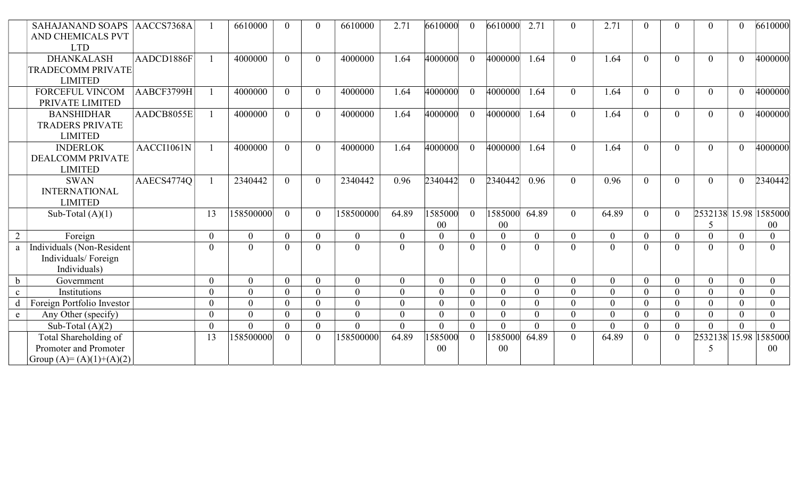|              | <b>SAHAJANAND SOAPS</b><br><b>AND CHEMICALS PVT</b><br><b>LTD</b>           | AACCS7368A |              | 6610000   |                | $\Omega$ | 6610000        | 2.71           | 6610000           | $\theta$       | 6610000        | 2.71           | $\theta$       | 2.71         |          |          | $\Omega$                            | $\overline{0}$ | 6610000                 |
|--------------|-----------------------------------------------------------------------------|------------|--------------|-----------|----------------|----------|----------------|----------------|-------------------|----------------|----------------|----------------|----------------|--------------|----------|----------|-------------------------------------|----------------|-------------------------|
|              | <b>DHANKALASH</b><br><b>TRADECOMM PRIVATE</b><br><b>LIMITED</b>             | AADCD1886F |              | 4000000   | $\theta$       | $\Omega$ | 4000000        | 1.64           | 4000000           | $\theta$       | 4000000        | 1.64           | $\theta$       | 1.64         | $\theta$ | $\Omega$ | $\theta$                            | $\theta$       | 4000000                 |
|              | <b>FORCEFUL VINCOM</b><br>PRIVATE LIMITED                                   | AABCF3799H |              | 4000000   | $\Omega$       | $\theta$ | 4000000        | 1.64           | 4000000           | $\theta$       | 4000000        | 1.64           | $\overline{0}$ | 1.64         | $\Omega$ | $\Omega$ | $\overline{0}$                      | $\overline{0}$ | 4000000                 |
|              | <b>BANSHIDHAR</b><br><b>TRADERS PRIVATE</b><br><b>LIMITED</b>               | AADCB8055E |              | 4000000   | $\theta$       | $\theta$ | 4000000        | 1.64           | 4000000           | $\theta$       | 4000000        | 1.64           | $\overline{0}$ | 1.64         | $\theta$ | $\Omega$ | $\overline{0}$                      | $\theta$       | 4000000                 |
|              | <b>INDERLOK</b><br><b>DEALCOMM PRIVATE</b><br><b>LIMITED</b>                | AACCI1061N |              | 4000000   | $\Omega$       | $\Omega$ | 4000000        | 1.64           | 4000000           | $\theta$       | 4000000        | 1.64           | $\Omega$       | 1.64         | $\Omega$ | $\Omega$ | $\theta$                            | $\theta$       | 4000000                 |
|              | <b>SWAN</b><br><b>INTERNATIONAL</b><br><b>LIMITED</b>                       | AAECS4774Q |              | 2340442   | $\Omega$       | $\theta$ | 2340442        | 0.96           | 2340442           | $\theta$       | 2340442        | 0.96           | $\overline{0}$ | 0.96         | $\Omega$ | $\Omega$ | $\theta$                            | $\theta$       | 2340442                 |
|              | Sub-Total $(A)(1)$                                                          |            | 13           | 158500000 | $\Omega$       | $\theta$ | 158500000      | 64.89          | 1585000<br>$00\,$ | $\overline{0}$ | 1585000<br>00  | 64.89          | $\theta$       | 64.89        | $\Omega$ | $\Omega$ | 2532138 15.98 1585000<br>5          |                | $00\,$                  |
| 2            | Foreign                                                                     |            | $\mathbf{0}$ | $\Omega$  | $\overline{0}$ | $\theta$ | $\overline{0}$ | $\mathbf{0}$   | $\overline{0}$    | $\overline{0}$ | $\overline{0}$ | $\overline{0}$ | $\overline{0}$ | $\mathbf{0}$ | $\theta$ | $\Omega$ | $\theta$                            | $\overline{0}$ | $\theta$                |
| a            | Individuals (Non-Resident<br>Individuals/Foreign<br>Individuals)            |            | $\theta$     | $\Omega$  | $\theta$       | $\Omega$ | $\theta$       | $\theta$       | $\theta$          | $\theta$       | $\overline{0}$ | $\theta$       | $\overline{0}$ | $\theta$     | $\Omega$ | $\Omega$ | $\Omega$                            | $\Omega$       | $\Omega$                |
| $\mathbf b$  | Government                                                                  |            | $\theta$     | $\Omega$  | $\theta$       | $\theta$ | $\overline{0}$ | $\theta$       | $\overline{0}$    | $\overline{0}$ | $\theta$       | $\theta$       | $\Omega$       | $\theta$     | $\theta$ | $\Omega$ | $\theta$                            | $\overline{0}$ | $\theta$                |
| $\mathbf{c}$ | Institutions                                                                |            | $\theta$     | $\Omega$  | $\theta$       | $\theta$ | $\theta$       | $\theta$       | $\theta$          | $\overline{0}$ | $\overline{0}$ | $\theta$       | $\Omega$       | $\theta$     | $\Omega$ | $\Omega$ | $\theta$                            | $\mathbf{0}$   | $\Omega$                |
| d            | Foreign Portfolio Investor                                                  |            | $\theta$     | $\Omega$  | $\theta$       | $\theta$ | $\theta$       | $\theta$       | $\Omega$          | $\theta$       | $\theta$       | $\theta$       | $\Omega$       | $\theta$     | $\Omega$ | $\Omega$ | $\theta$                            | $\theta$       | $\Omega$                |
| $\mathbf{e}$ | Any Other (specify)                                                         |            | $\mathbf{0}$ | $\Omega$  | $\theta$       | $\theta$ | $\theta$       | $\theta$       | $\overline{0}$    | $\overline{0}$ | $\overline{0}$ | $\theta$       | $\Omega$       | $\theta$     | $\Omega$ | $\Omega$ | $\theta$                            | $\overline{0}$ | $\theta$                |
|              | Sub-Total $(A)(2)$                                                          |            | $\mathbf{0}$ | $\Omega$  | $\theta$       | $\theta$ | $\overline{0}$ | $\overline{0}$ | $\theta$          | $\overline{0}$ | $\overline{0}$ | $\mathbf{0}$   | $\overline{0}$ | $\theta$     | $\theta$ | $\theta$ | $\theta$                            | $\overline{0}$ | $\Omega$                |
|              | Total Shareholding of<br>Promoter and Promoter<br>Group $(A)=(A)(1)+(A)(2)$ |            | 13           | 158500000 | $\Omega$       | $\theta$ | 158500000      | 64.89          | 1585000<br>00     | $\overline{0}$ | 1585000<br>00  | 64.89          | $\overline{0}$ | 64.89        | $\Omega$ |          | 2532138<br>$\overline{\mathcal{L}}$ |                | 15.98 1585000<br>$00\,$ |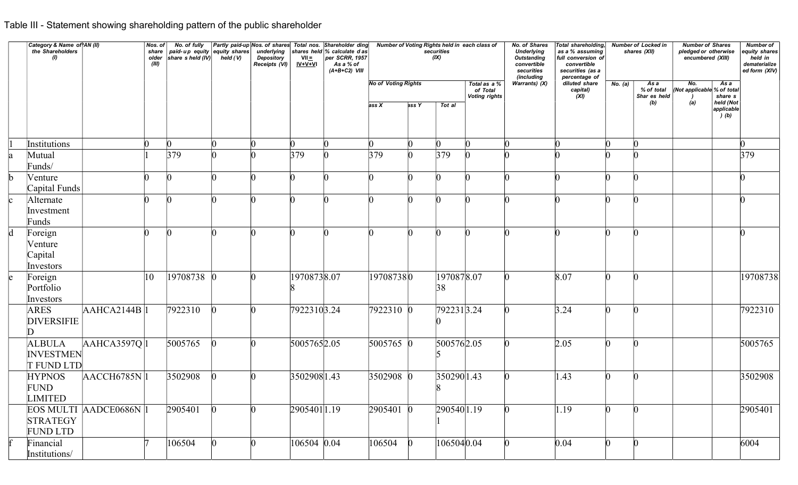# Table III - Statement showing shareholding pattern of the public shareholder

|             | Category & Name of AN (II)<br>the Shareholders<br>$\omega$ |                        | Nos. of<br>(III) | No. of fully<br>share paid-up equity equity shares<br>older share sheld (IV) held (V) |                 | Partly paid-up Nos. of shares Total nos. Shareholder ding<br>underlying<br>Depository<br>Receipts (VI) | $VII =$<br>$IV+V+VI$ | shares held $%$ calculate d as<br>$ per$ SCRR, 1957<br>As a % of<br>$(A+B+C2)$ VIII |                                     |                 | Number of Voting Rights held in each class of<br>securities<br>(IX) |                                                  | No. of Shares<br><b>Underlying</b><br>Outstanding<br>convertible<br>securities<br>(including | Total shareholding,<br>as a % assuming<br>full conversion of<br>convertible<br>securities (as a<br>percentage of |             | <b>Number of Locked in</b><br>shares (XII) | <b>Number of Shares</b><br>pledged or otherwise<br>encumbered (XIII) |                                                     | <b>Number of</b><br>equity shares<br>held in<br>dematerialize<br>ed form (XIV) |
|-------------|------------------------------------------------------------|------------------------|------------------|---------------------------------------------------------------------------------------|-----------------|--------------------------------------------------------------------------------------------------------|----------------------|-------------------------------------------------------------------------------------|-------------------------------------|-----------------|---------------------------------------------------------------------|--------------------------------------------------|----------------------------------------------------------------------------------------------|------------------------------------------------------------------------------------------------------------------|-------------|--------------------------------------------|----------------------------------------------------------------------|-----------------------------------------------------|--------------------------------------------------------------------------------|
|             |                                                            |                        |                  |                                                                                       |                 |                                                                                                        |                      |                                                                                     | <b>No of Voting Rights</b><br>ass X | ass Y           | Tot al                                                              | Total as a %<br>of Total<br><b>Voting rights</b> | Warrants) $(X)$                                                                              | diluted share<br>capital)<br>(XI)                                                                                | No. (a)     | As a<br>% of total<br>Shar es held<br>(b)  | No.<br>(Not applicable % of total<br>(a)                             | As a<br>share s<br>held (Not<br>applicable<br>) (b) |                                                                                |
|             | Institutions                                               |                        | n                | $\Omega$                                                                              |                 |                                                                                                        | $\Omega$             |                                                                                     | $ 0\rangle$                         |                 | n                                                                   | $\Omega$                                         |                                                                                              |                                                                                                                  | $\Omega$    |                                            |                                                                      |                                                     | $\Omega$                                                                       |
|             | Mutual<br>Funds/                                           |                        |                  | 379                                                                                   |                 |                                                                                                        | 379                  |                                                                                     | 379                                 | n               | 379                                                                 |                                                  |                                                                                              |                                                                                                                  |             |                                            |                                                                      |                                                     | 379                                                                            |
|             | Venture<br>Capital Funds                                   |                        |                  |                                                                                       |                 |                                                                                                        |                      |                                                                                     |                                     |                 |                                                                     |                                                  |                                                                                              |                                                                                                                  |             |                                            |                                                                      |                                                     |                                                                                |
|             | Alternate<br>Investment                                    |                        | $ 0\rangle$      | $\bf{0}$                                                                              | $\vert 0 \vert$ | $\vert 0 \vert$                                                                                        | $\vert 0 \vert$      | $\vert 0 \vert$                                                                     | $\sim$<br>K)                        | $\vert 0 \vert$ | $\vert 0 \vert$                                                     | $\vert 0 \vert$                                  | $\Omega$                                                                                     | $\vert 0 \vert$                                                                                                  | $\sim$<br>U | $\vert 0 \vert$                            |                                                                      |                                                     | $\vert 0 \vert$                                                                |
| $\mathbf d$ | Funds<br>Foreign<br>Venture<br>Capital<br>Investors        |                        | $\Omega$         | $\Omega$                                                                              |                 | $\Omega$                                                                                               | $\Omega$             |                                                                                     | $\Omega$                            |                 | n.                                                                  | $\Omega$                                         |                                                                                              |                                                                                                                  | n.          |                                            |                                                                      |                                                     |                                                                                |
|             | Foreign<br>Portfolio<br>Investors                          |                        | 10               | 19708738 0                                                                            |                 |                                                                                                        | 19708738.07          |                                                                                     | 197087380                           |                 | 1970878.07<br>38                                                    |                                                  |                                                                                              | 8.07                                                                                                             | $\Omega$    |                                            |                                                                      |                                                     | 19708738                                                                       |
|             | <b>ARES</b><br><b>DIVERSIFIE</b>                           | AAHCA2144B 1           |                  | 7922310                                                                               |                 |                                                                                                        | 7922310 3.24         |                                                                                     | 7922310 0                           |                 | $79223\overline{13.24}$                                             |                                                  |                                                                                              | 3.24                                                                                                             | n           |                                            |                                                                      |                                                     | 7922310                                                                        |
|             | <b>ALBULA</b><br><b>INVESTMEN</b><br><b>T FUND LTD</b>     | AAHCA3597Q 1           |                  | 5005765                                                                               |                 |                                                                                                        | 5005765 2.05         |                                                                                     | $5005765$ 0                         |                 | 5005762.05                                                          |                                                  |                                                                                              | 2.05                                                                                                             | n           |                                            |                                                                      |                                                     | 5005765                                                                        |
|             | <b>HYPNOS</b><br><b>FUND</b><br>LIMITED                    | AACCH6785N 1           |                  | 3502908                                                                               |                 |                                                                                                        | 3502908 1.43         |                                                                                     | $3502908$ 0                         |                 | $350290$  1.43                                                      |                                                  |                                                                                              | 1.43                                                                                                             | n           |                                            |                                                                      |                                                     | 3502908                                                                        |
|             | <b>STRATEGY</b><br>FUND LTD                                | EOS MULTI AADCE0686N 1 |                  | 2905401                                                                               |                 |                                                                                                        | 2905401 1.19         |                                                                                     | $2905401$ 0                         |                 | 290540 1.19                                                         |                                                  |                                                                                              | $ 1.19\rangle$                                                                                                   | $\Omega$    |                                            |                                                                      |                                                     | 2905401                                                                        |
|             | Financial<br>Institutions/                                 |                        |                  | 106504                                                                                |                 |                                                                                                        | 106504 0.04          |                                                                                     | 106504                              |                 | 1065040.04                                                          |                                                  |                                                                                              | 0.04                                                                                                             | n           |                                            |                                                                      |                                                     | 6004                                                                           |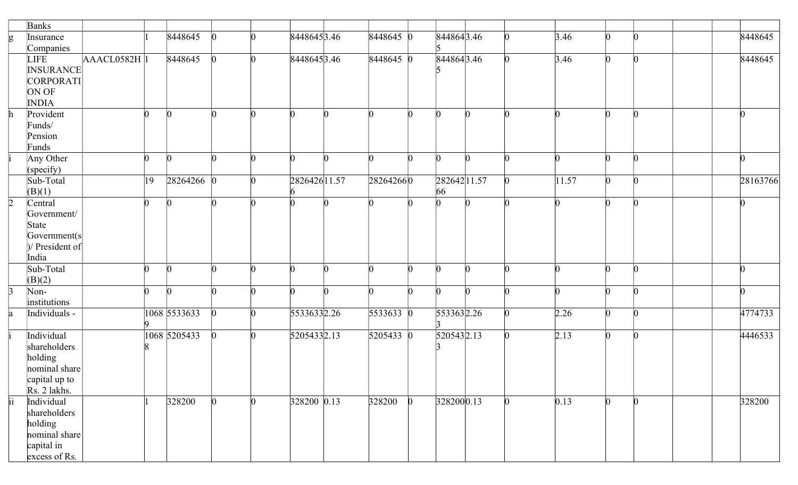|                 | Banks                      |    |              |                 |               |             |              |              |          |          |       |                 |  |          |  |
|-----------------|----------------------------|----|--------------|-----------------|---------------|-------------|--------------|--------------|----------|----------|-------|-----------------|--|----------|--|
| g               | Insurance                  |    | 8448645      |                 | 8448645 3.46  | 8448645 0   |              | 8448643.46   |          |          | 3.46  | n               |  | 8448645  |  |
|                 | Companies                  |    |              |                 |               |             |              |              |          |          |       |                 |  |          |  |
|                 | <b>LIFE</b><br>AACL0582H 1 |    | 8448645      | $\bf{0}$        | 8448645 3.46  | 8448645 0   |              | 8448643.46   |          | n        | 3.46  | $\vert 0 \vert$ |  | 8448645  |  |
|                 | <b>INSURANCE</b>           |    |              |                 |               |             |              |              |          |          |       |                 |  |          |  |
|                 | CORPORATI                  |    |              |                 |               |             |              |              |          |          |       |                 |  |          |  |
|                 | ON OF                      |    |              |                 |               |             |              |              |          |          |       |                 |  |          |  |
|                 | <b>INDIA</b>               | n  |              |                 |               |             |              |              |          |          |       |                 |  |          |  |
| $\mathbf{h}$    | Provident                  |    |              | n               |               |             |              | <sub>0</sub> | $\Omega$ |          |       |                 |  |          |  |
|                 | Funds/<br>Pension          |    |              |                 |               |             |              |              |          |          |       |                 |  |          |  |
|                 | Funds                      |    |              |                 |               |             |              |              |          |          |       |                 |  |          |  |
|                 | Any Other                  | n  |              | n               |               |             | n            | n            | n        |          |       | n               |  |          |  |
|                 | (specify)                  |    |              |                 |               |             |              |              |          |          |       |                 |  |          |  |
|                 | Sub-Total                  | 19 | $28264266$ 0 |                 | 2826426 11.57 | 282642660   |              | 282642 11.57 |          |          | 11.57 | $\Omega$        |  | 28163766 |  |
|                 | (B)(1)                     |    |              |                 |               |             |              | 66           |          |          |       |                 |  |          |  |
| $\vert$ 2       | Central                    | n  |              | n               |               |             |              |              |          |          |       | $\Omega$        |  |          |  |
|                 | Government/                |    |              |                 |               |             |              |              |          |          |       |                 |  |          |  |
|                 | State                      |    |              |                 |               |             |              |              |          |          |       |                 |  |          |  |
|                 | Government(s)              |    |              |                 |               |             |              |              |          |          |       |                 |  |          |  |
|                 | $ $ President of           |    |              |                 |               |             |              |              |          |          |       |                 |  |          |  |
|                 | India                      |    |              |                 |               |             |              |              |          |          |       |                 |  |          |  |
|                 | Sub-Total                  | n  | ľ            | $\Omega$        |               | n           | <sup>n</sup> | $\Omega$     | $\Omega$ | $\Omega$ | n     | n               |  |          |  |
|                 | (B)(2)                     |    |              |                 |               |             |              |              |          |          |       |                 |  |          |  |
| $\vert$ 3       | Non-                       | ∩  |              |                 |               |             |              | n            |          |          |       |                 |  |          |  |
|                 | institutions               |    |              |                 |               |             |              |              |          |          |       |                 |  |          |  |
| la              | Individuals -              |    | 1068 5533633 | $\vert 0 \vert$ | 55336332.26   | $5533633$ 0 |              | 5533632.26   |          | $\Omega$ | 2.26  | n.              |  | 4774733  |  |
|                 |                            |    |              |                 |               |             |              |              |          |          |       |                 |  |          |  |
|                 | Individual                 |    | 1068 5205433 | $\Omega$        | 52054332.13   | 5205433 0   |              | 5205432.13   |          |          | 2.13  | n.              |  | 4446533  |  |
|                 | shareholders               |    |              |                 |               |             |              |              |          |          |       |                 |  |          |  |
|                 | holding                    |    |              |                 |               |             |              |              |          |          |       |                 |  |          |  |
|                 | nominal share              |    |              |                 |               |             |              |              |          |          |       |                 |  |          |  |
|                 | capital up to              |    |              |                 |               |             |              |              |          |          |       |                 |  |          |  |
|                 | Rs. 2 lakhs.               |    |              |                 |               |             |              |              |          |          |       |                 |  |          |  |
| $\overline{ii}$ | Individual                 |    | 328200       | O.              | 328200 0.13   | 328200      | 0            | 3282000.13   |          |          | 0.13  |                 |  | 328200   |  |
|                 | shareholders               |    |              |                 |               |             |              |              |          |          |       |                 |  |          |  |
|                 | holding                    |    |              |                 |               |             |              |              |          |          |       |                 |  |          |  |
|                 | nominal share              |    |              |                 |               |             |              |              |          |          |       |                 |  |          |  |
|                 | capital in                 |    |              |                 |               |             |              |              |          |          |       |                 |  |          |  |
|                 | excess of Rs.              |    |              |                 |               |             |              |              |          |          |       |                 |  |          |  |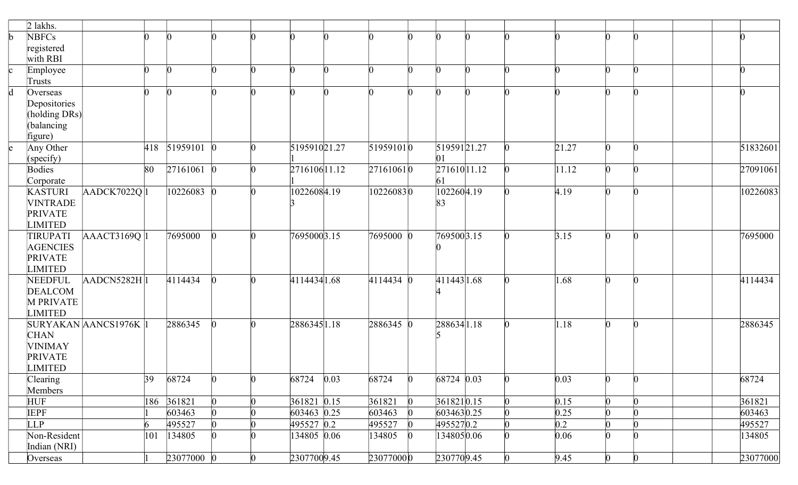|              | $2$ lakhs.                  |                       |     |              |                 |   |               |                         |                 |              |   |                 |       |   |                 |          |
|--------------|-----------------------------|-----------------------|-----|--------------|-----------------|---|---------------|-------------------------|-----------------|--------------|---|-----------------|-------|---|-----------------|----------|
| b            | <b>NBFCs</b>                |                       |     |              |                 |   |               |                         |                 |              |   |                 |       |   |                 |          |
|              | registered                  |                       |     |              |                 |   |               |                         |                 |              |   |                 |       |   |                 |          |
|              | with RBI                    |                       |     |              |                 |   |               |                         |                 |              |   |                 |       |   |                 |          |
| c            | Employee                    |                       |     |              |                 |   |               |                         |                 |              | n |                 |       |   | $\Omega$        |          |
|              | Trusts                      |                       |     |              |                 |   |               |                         |                 |              |   |                 |       |   |                 |          |
| $\mathsf{d}$ | Overseas                    |                       |     |              |                 |   |               |                         |                 |              | n |                 |       |   |                 |          |
|              | Depositories                |                       |     |              |                 |   |               |                         |                 |              |   |                 |       |   |                 |          |
|              | (holding DRs)               |                       |     |              |                 |   |               |                         |                 |              |   |                 |       |   |                 |          |
|              | (balancing                  |                       |     |              |                 |   |               |                         |                 |              |   |                 |       |   |                 |          |
|              | figure)                     |                       |     |              |                 |   |               |                         |                 |              |   |                 |       |   |                 |          |
| le           | Any Other                   |                       | 418 | $51959101$ 0 |                 |   | 519591021.27  | 519591010               |                 | 51959121.27  |   |                 | 21.27 | n | $\Omega$        | 51832601 |
|              | (specify)                   |                       |     |              |                 |   |               |                         |                 | 01           |   |                 |       |   |                 |          |
|              | <b>Bodies</b>               |                       | 80  | $27161061$ 0 |                 |   | 2716106 11.12 | $27161061$ <sub>0</sub> |                 | 271610 11.12 |   |                 | 11.12 | n | $\Omega$        | 27091061 |
|              | Corporate                   |                       |     |              |                 |   |               |                         |                 | 61           |   |                 |       |   |                 |          |
|              | <b>KASTURI</b>              | AADCK7022Q 1          |     | $10226083$ 0 |                 |   | 10226084.19   | 102260830               |                 | 1022604.19   |   |                 | 4.19  |   | n               | 10226083 |
|              | <b>VINTRADE</b>             |                       |     |              |                 |   |               |                         |                 | 83           |   |                 |       |   |                 |          |
|              | <b>PRIVATE</b>              |                       |     |              |                 |   |               |                         |                 |              |   |                 |       |   |                 |          |
|              | <b>LIMITED</b>              |                       |     |              |                 |   |               |                         |                 |              |   |                 |       |   |                 |          |
|              | TIRUPATI                    | AAACT3169Q 1          |     | 7695000      |                 |   | 7695000 3.15  | 7695000 0               |                 | 769500 3.15  |   |                 | 3.15  |   | $\Omega$        | 7695000  |
|              | <b>AGENCIES</b>             |                       |     |              |                 |   |               |                         |                 |              |   |                 |       |   |                 |          |
|              | <b>PRIVATE</b>              |                       |     |              |                 |   |               |                         |                 |              |   |                 |       |   |                 |          |
|              | <b>LIMITED</b>              |                       |     |              |                 |   |               |                         |                 |              |   |                 |       | ∩ | $\Omega$        |          |
|              | NEEDFUL                     | AADCN5282H 1          |     | 4114434      |                 |   | 4114434 1.68  | $4114434$ 0             |                 | 411443 1.68  |   |                 | 1.68  |   |                 | 4114434  |
|              | <b>DEALCOM</b><br>M PRIVATE |                       |     |              |                 |   |               |                         |                 |              |   |                 |       |   |                 |          |
|              | <b>LIMITED</b>              |                       |     |              |                 |   |               |                         |                 |              |   |                 |       |   |                 |          |
|              |                             | SURYAKAN AANCS1976K 1 |     | 2886345      |                 |   | 2886345 1.18  | $2886345$ 0             |                 | 2886341.18   |   |                 | 1.18  |   | $\Omega$        | 2886345  |
|              | <b>CHAN</b>                 |                       |     |              |                 |   |               |                         |                 |              |   |                 |       |   |                 |          |
|              | <b>VINIMAY</b>              |                       |     |              |                 |   |               |                         |                 |              |   |                 |       |   |                 |          |
|              | <b>PRIVATE</b>              |                       |     |              |                 |   |               |                         |                 |              |   |                 |       |   |                 |          |
|              | <b>LIMITED</b>              |                       |     |              |                 |   |               |                         |                 |              |   |                 |       |   |                 |          |
|              | Clearing                    |                       | 39  | 68724        | $\vert 0 \vert$ |   | 68724 0.03    | 68724                   | $\vert 0 \vert$ | 68724 0.03   |   | $\vert 0 \vert$ | 0.03  | N | $\vert 0 \vert$ | 68724    |
|              | Members                     |                       |     |              |                 |   |               |                         |                 |              |   |                 |       |   |                 |          |
|              | <b>HUF</b>                  |                       | 186 | 361821       | $\overline{0}$  |   | 361821 0.15   | 361821                  |                 | 361821 0.15  |   | $\vert 0 \vert$ | 0.15  | 0 | $\vert 0 \vert$ | 361821   |
|              | <b>IEPF</b>                 |                       |     | 603463       | $\overline{0}$  |   | 603463 0.25   | 603463                  |                 | 6034630.25   |   | $\vert 0 \vert$ | 0.25  |   | $\vert 0 \vert$ | 603463   |
|              | <b>LLP</b>                  |                       | 6   | 495527       | $\Omega$        |   | 495527 0.2    | 495527                  |                 | 4955270.2    |   | $\Omega$        | 0.2   |   | $\vert 0 \vert$ | 495527   |
|              | Non-Resident                |                       | 101 | 134805       | n.              |   | 134805 0.06   | 134805                  |                 | 1348050.06   |   | $\Omega$        | 0.06  | n | $\vert$ 0       | 134805   |
|              | Indian (NRI)                |                       |     |              |                 |   |               |                         |                 |              |   |                 |       |   |                 |          |
|              | Overseas                    |                       |     | 23077000 0   |                 | 0 | 23077009.45   | 230770000               |                 | 2307709.45   |   | $\rm 0$         | 9.45  | 0 | $\bf{0}$        | 23077000 |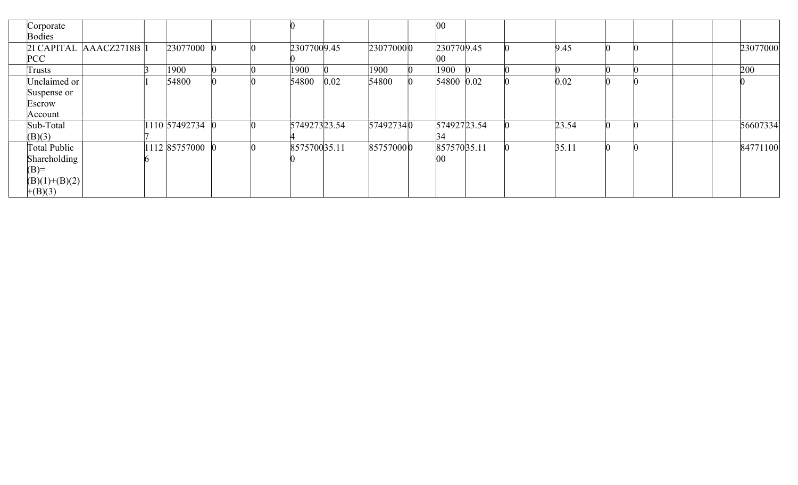| Corporate   |                     |                                       |                 |  |              |      |           | $ 00\rangle$ |  |       |  |          |
|-------------|---------------------|---------------------------------------|-----------------|--|--------------|------|-----------|--------------|--|-------|--|----------|
| Bodies      |                     |                                       |                 |  |              |      |           |              |  |       |  |          |
|             |                     | $2I$ CAPITAL $AACZ2718B$ <sup>1</sup> | 23077000        |  | 23077009.45  |      | 230770000 | 2307709.45   |  | 9.45  |  | 23077000 |
| PCC         |                     |                                       |                 |  |              |      |           |              |  |       |  |          |
| Trusts      |                     |                                       | 1900            |  | 1900         |      | 1900      | 1900         |  |       |  | 200      |
|             | Unclaimed or        |                                       | 54800           |  | 54800        | 0.02 | 54800     | 54800 0.02   |  | 0.02  |  |          |
| Suspense or |                     |                                       |                 |  |              |      |           |              |  |       |  |          |
| Escrow      |                     |                                       |                 |  |              |      |           |              |  |       |  |          |
| Account     |                     |                                       |                 |  |              |      |           |              |  |       |  |          |
| Sub-Total   |                     |                                       | 1110 57492734 0 |  | 574927323.54 |      | 574927340 | 57492723.54  |  | 23.54 |  | 56607334 |
| (B)(3)      |                     |                                       |                 |  |              |      |           | 34           |  |       |  |          |
|             | <b>Total Public</b> |                                       | 1112 85757000   |  | 857570035.11 |      | 857570000 | 85757035.11  |  | 35.11 |  | 84771100 |
|             | Shareholding        |                                       |                 |  |              |      |           | $00\,$       |  |       |  |          |
| $(B)=$      |                     |                                       |                 |  |              |      |           |              |  |       |  |          |
|             | $(B)(1)+(B)(2)$     |                                       |                 |  |              |      |           |              |  |       |  |          |
| $+(B)(3)$   |                     |                                       |                 |  |              |      |           |              |  |       |  |          |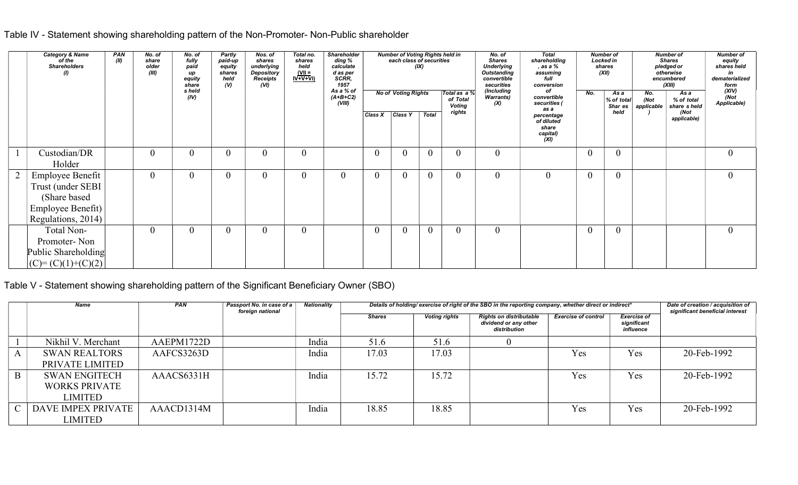|                | Fable IV - Statement showing shareholding pattern of the Non-Promoter- Non-Public shareholder<br><b>Category &amp; Name</b><br>PAN<br>of the<br>(II) | No. of<br>share | No. of<br>fully                         | <b>Partly</b><br>Nos. of<br>paid-up<br>shares                                          | Total no.<br>shares                               | Shareholder<br>ding %                  |                  | <b>Number of Voting Rights held in</b><br>each class of securities |                  |                                     | No. of<br><b>Shares</b>                                                            | <b>Total</b><br>shareholding                                                                 |                | <b>Number of</b><br><b>Locked in</b> | Number of<br><b>Shares</b>                                              | <b>Number of</b>                                               |
|----------------|------------------------------------------------------------------------------------------------------------------------------------------------------|-----------------|-----------------------------------------|----------------------------------------------------------------------------------------|---------------------------------------------------|----------------------------------------|------------------|--------------------------------------------------------------------|------------------|-------------------------------------|------------------------------------------------------------------------------------|----------------------------------------------------------------------------------------------|----------------|--------------------------------------|-------------------------------------------------------------------------|----------------------------------------------------------------|
|                | <b>Shareholders</b><br>$\theta$                                                                                                                      | older<br>(III)  | paid<br>up<br>equity<br>share<br>s held | equity<br>underlying<br>shares<br><b>Depository</b><br>Receipts<br>held<br>(V)<br>(VI) | held<br>$\frac{\text{(VII =}\n}{\text{IV+V+VI)}}$ | calculate<br>d as per<br>SCRR,<br>1957 |                  | <b>No of Voting Rights</b>                                         | (IX)             | Total as a %                        | <b>Underlying</b><br><b>Outstanding</b><br>convertible<br>securities<br>(Including | , as a %<br>assuming<br>full<br>conversion<br>of                                             | No.            | shares<br>(XII)<br>As a              | pledged or<br>otherwise<br>encumbered<br>(XIII)<br>No.<br>As a          | equity<br>shares held<br>in<br>dematerialized<br>form<br>(XIV) |
|                |                                                                                                                                                      |                 | (IV)                                    |                                                                                        |                                                   | As a % of<br>(A+B+C2)<br>(VIII)        |                  | Class X Class Y   Total                                            |                  | of Total<br><b>Voting</b><br>rights | Warrants)<br>(X)                                                                   | convertible<br>securities (<br>as a<br>percentage<br>of diluted<br>share<br>capital)<br>(XI) |                | % of total<br>Shar es<br>held        | (Not<br>% of total<br>applicable<br>share s held<br>(Not<br>applicable) | (Not<br>Applicable)                                            |
|                | Custodian/DR<br>Holder                                                                                                                               | $\theta$        | $\mathbf{0}$                            | $\overline{0}$<br>$\overline{0}$                                                       | $\boldsymbol{0}$                                  |                                        | $\boldsymbol{0}$ | $\overline{0}$                                                     | $\boldsymbol{0}$ | $\overline{0}$                      | $\overline{0}$                                                                     |                                                                                              | $\overline{0}$ | $\overline{0}$                       |                                                                         | $\boldsymbol{0}$                                               |
| $\overline{2}$ | Employee Benefit<br>Trust (under SEBI<br>(Share based<br>Employee Benefit)<br>Regulations, 2014)                                                     | $\Omega$        | $\overline{0}$                          | $\overline{0}$<br>$\overline{0}$                                                       | $\overline{0}$                                    | $\Omega$                               | $\overline{0}$   | $\theta$                                                           | $\overline{0}$   | $\overline{0}$                      | $\overline{0}$                                                                     | $\mathbf{0}$                                                                                 | $\overline{0}$ | $\overline{0}$                       |                                                                         | $\boldsymbol{0}$                                               |
|                | Total Non-<br>Promoter-Non<br>Public Shareholding<br>$(C) = (C)(1)+(C)(2)$                                                                           | $\Omega$        | $\overline{0}$                          | $\theta$<br>$\mathbf{0}$                                                               | $\theta$                                          |                                        | $\overline{0}$   | $\Omega$                                                           | $\overline{0}$   | $\overline{0}$                      | $\mathbf{0}$                                                                       |                                                                                              | $\overline{0}$ | $\theta$                             |                                                                         | $\overline{0}$                                                 |

### Table V - Statement showing shareholding pattern of the Significant Beneficiary Owner (SBO)

|   | Name                      | PAN        | Passport No. in case of a<br>foreign national | Nationality |               |                      | Details of holding/ exercise of right of the SBO in the reporting company, whether direct or indirect* |                            |                                                | Date of creation / acquisition of<br>significant beneficial interest |
|---|---------------------------|------------|-----------------------------------------------|-------------|---------------|----------------------|--------------------------------------------------------------------------------------------------------|----------------------------|------------------------------------------------|----------------------------------------------------------------------|
|   |                           |            |                                               |             | <b>Shares</b> | <b>Voting rights</b> | <b>Rights on distributable</b><br>dividend or any other<br>distribution                                | <b>Exercise of control</b> | <b>Exercise of</b><br>significant<br>influence |                                                                      |
|   | Nikhil V. Merchant        | AAEPM1722D |                                               | India       | 51.6          | 51.6                 |                                                                                                        |                            |                                                |                                                                      |
|   | <b>SWAN REALTORS</b>      | AAFCS3263D |                                               | India       | 17.03         | 17.03                |                                                                                                        | Yes                        | Yes                                            | 20-Feb-1992                                                          |
|   | PRIVATE LIMITED           |            |                                               |             |               |                      |                                                                                                        |                            |                                                |                                                                      |
| B | <b>SWAN ENGITECH</b>      | AAACS6331H |                                               | India       | 15.72         | 15.72                |                                                                                                        | Yes                        | Yes                                            | 20-Feb-1992                                                          |
|   | <b>WORKS PRIVATE</b>      |            |                                               |             |               |                      |                                                                                                        |                            |                                                |                                                                      |
|   | LIMITED                   |            |                                               |             |               |                      |                                                                                                        |                            |                                                |                                                                      |
|   | <b>DAVE IMPEX PRIVATE</b> | AAACD1314M |                                               | India       | 18.85         | 18.85                |                                                                                                        | Yes                        | Yes                                            | 20-Feb-1992                                                          |
|   | LIMITED                   |            |                                               |             |               |                      |                                                                                                        |                            |                                                |                                                                      |